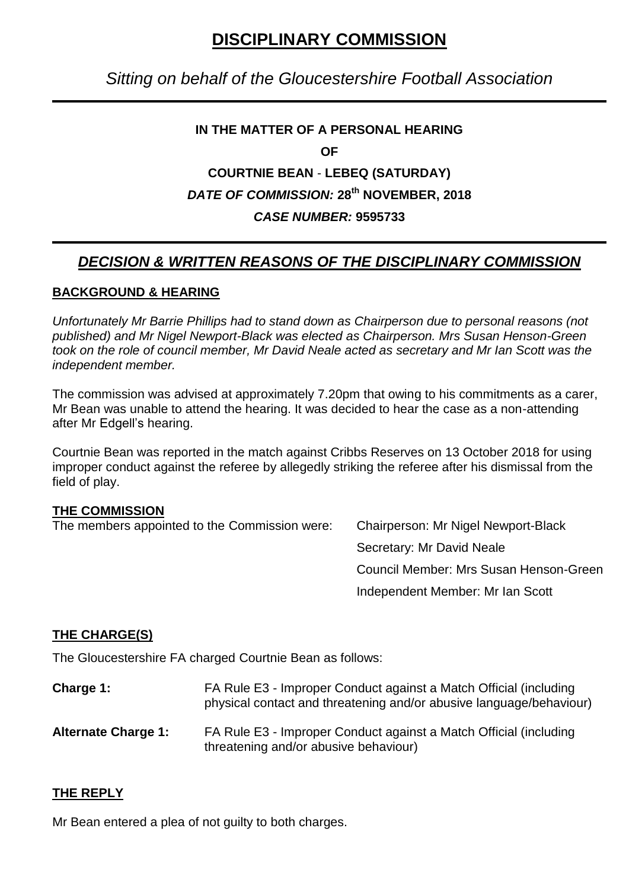# **DISCIPLINARY COMMISSION**

## *Sitting on behalf of the Gloucestershire Football Association*

## **IN THE MATTER OF A PERSONAL HEARING**

**OF**

# **COURTNIE BEAN** - **LEBEQ (SATURDAY)** *DATE OF COMMISSION:* **28th NOVEMBER, 2018**

#### *CASE NUMBER:* **9595733**

## *DECISION & WRITTEN REASONS OF THE DISCIPLINARY COMMISSION*

#### **BACKGROUND & HEARING**

*Unfortunately Mr Barrie Phillips had to stand down as Chairperson due to personal reasons (not published) and Mr Nigel Newport-Black was elected as Chairperson. Mrs Susan Henson-Green took on the role of council member, Mr David Neale acted as secretary and Mr Ian Scott was the independent member.*

The commission was advised at approximately 7.20pm that owing to his commitments as a carer, Mr Bean was unable to attend the hearing. It was decided to hear the case as a non-attending after Mr Edgell's hearing.

Courtnie Bean was reported in the match against Cribbs Reserves on 13 October 2018 for using improper conduct against the referee by allegedly striking the referee after his dismissal from the field of play.

#### **THE COMMISSION**

The members appointed to the Commission were: Chairperson: Mr Nigel Newport-Black

Secretary: Mr David Neale Council Member: Mrs Susan Henson-Green Independent Member: Mr Ian Scott

#### **THE CHARGE(S)**

The Gloucestershire FA charged Courtnie Bean as follows:

- **Charge 1:** FA Rule E3 Improper Conduct against a Match Official (including physical contact and threatening and/or abusive language/behaviour)
- **Alternate Charge 1:** FA Rule E3 Improper Conduct against a Match Official (including threatening and/or abusive behaviour)

#### **THE REPLY**

Mr Bean entered a plea of not guilty to both charges.